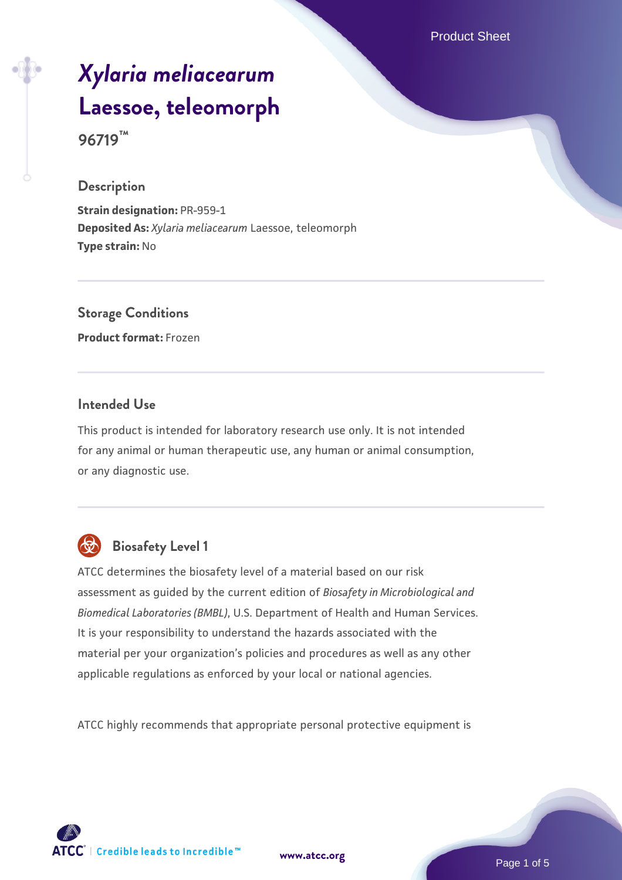Product Sheet

# *[Xylaria meliacearum](https://www.atcc.org/products/96719)* **[Laessoe, teleomorph](https://www.atcc.org/products/96719) 96719™**

#### **Description**

**Strain designation:** PR-959-1 **Deposited As:** *Xylaria meliacearum* Laessoe, teleomorph **Type strain:** No

**Storage Conditions Product format:** Frozen

# **Intended Use**

This product is intended for laboratory research use only. It is not intended for any animal or human therapeutic use, any human or animal consumption, or any diagnostic use.



# **Biosafety Level 1**

ATCC determines the biosafety level of a material based on our risk assessment as guided by the current edition of *Biosafety in Microbiological and Biomedical Laboratories (BMBL)*, U.S. Department of Health and Human Services. It is your responsibility to understand the hazards associated with the material per your organization's policies and procedures as well as any other applicable regulations as enforced by your local or national agencies.

ATCC highly recommends that appropriate personal protective equipment is

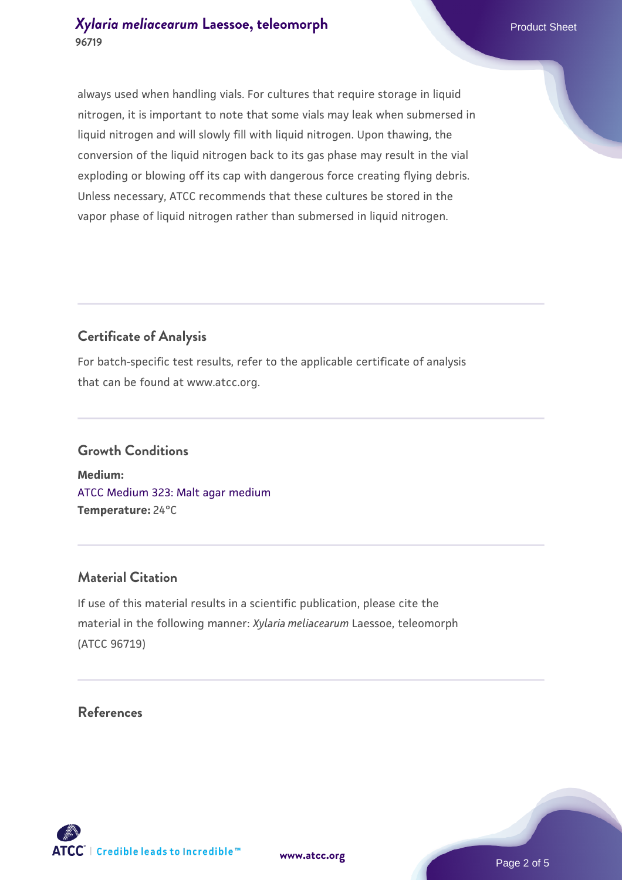# *[Xylaria meliacearum](https://www.atcc.org/products/96719)* [Laessoe, teleomorph](https://www.atcc.org/products/96719) **96719**

always used when handling vials. For cultures that require storage in liquid nitrogen, it is important to note that some vials may leak when submersed in liquid nitrogen and will slowly fill with liquid nitrogen. Upon thawing, the conversion of the liquid nitrogen back to its gas phase may result in the vial exploding or blowing off its cap with dangerous force creating flying debris. Unless necessary, ATCC recommends that these cultures be stored in the vapor phase of liquid nitrogen rather than submersed in liquid nitrogen.

# **Certificate of Analysis**

For batch-specific test results, refer to the applicable certificate of analysis that can be found at www.atcc.org.

# **Growth Conditions**

**Medium:**  [ATCC Medium 323: Malt agar medium](https://www.atcc.org/-/media/product-assets/documents/microbial-media-formulations/3/2/3/atcc-medium-323.pdf?rev=58d6457ee20149d7a1c844947569ef92) **Temperature:** 24°C

#### **Material Citation**

If use of this material results in a scientific publication, please cite the material in the following manner: *Xylaria meliacearum* Laessoe, teleomorph (ATCC 96719)

#### **References**

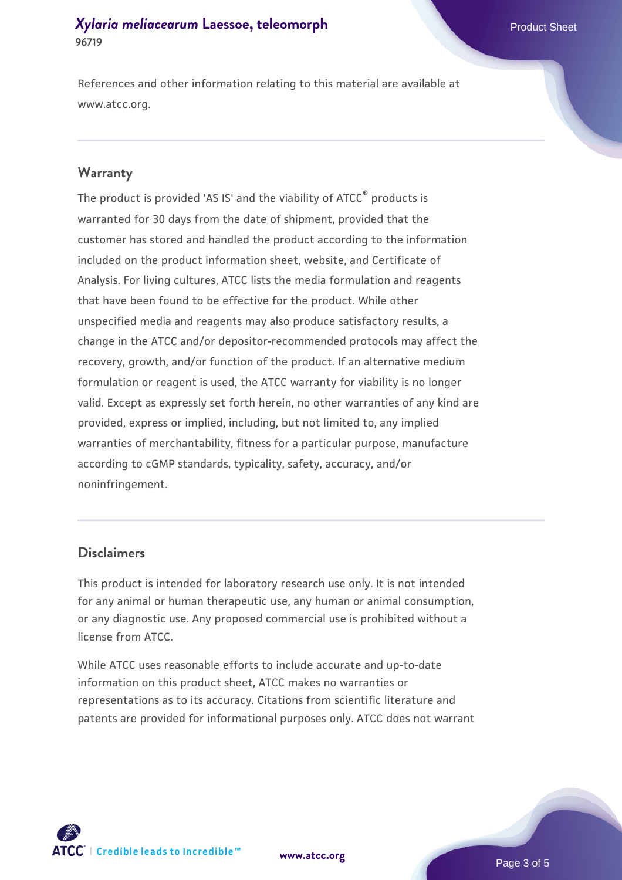# *[Xylaria meliacearum](https://www.atcc.org/products/96719)* [Laessoe, teleomorph](https://www.atcc.org/products/96719) **96719**

References and other information relating to this material are available at www.atcc.org.

#### **Warranty**

The product is provided 'AS IS' and the viability of ATCC® products is warranted for 30 days from the date of shipment, provided that the customer has stored and handled the product according to the information included on the product information sheet, website, and Certificate of Analysis. For living cultures, ATCC lists the media formulation and reagents that have been found to be effective for the product. While other unspecified media and reagents may also produce satisfactory results, a change in the ATCC and/or depositor-recommended protocols may affect the recovery, growth, and/or function of the product. If an alternative medium formulation or reagent is used, the ATCC warranty for viability is no longer valid. Except as expressly set forth herein, no other warranties of any kind are provided, express or implied, including, but not limited to, any implied warranties of merchantability, fitness for a particular purpose, manufacture according to cGMP standards, typicality, safety, accuracy, and/or noninfringement.

#### **Disclaimers**

This product is intended for laboratory research use only. It is not intended for any animal or human therapeutic use, any human or animal consumption, or any diagnostic use. Any proposed commercial use is prohibited without a license from ATCC.

While ATCC uses reasonable efforts to include accurate and up-to-date information on this product sheet, ATCC makes no warranties or representations as to its accuracy. Citations from scientific literature and patents are provided for informational purposes only. ATCC does not warrant

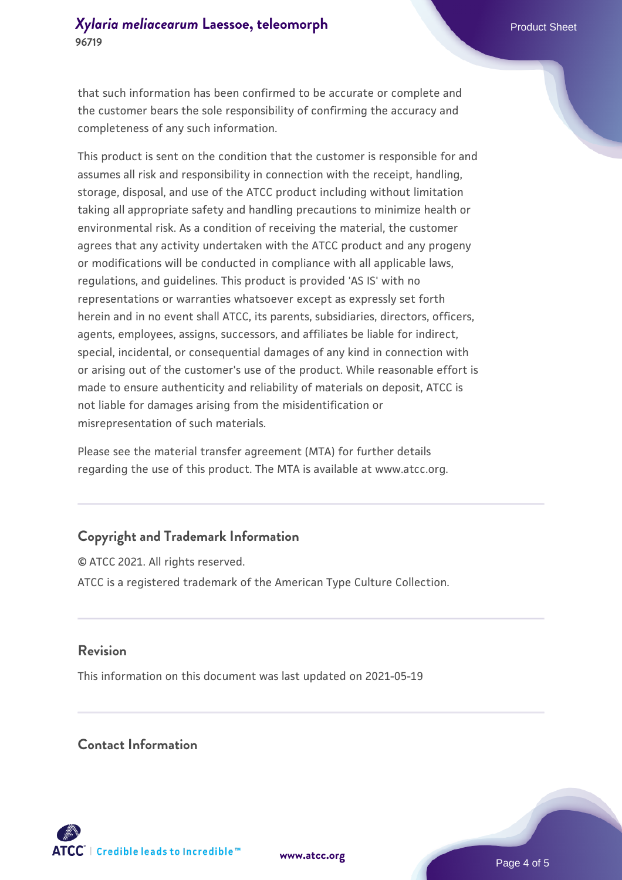# *[Xylaria meliacearum](https://www.atcc.org/products/96719)* [Laessoe, teleomorph](https://www.atcc.org/products/96719) **96719**

that such information has been confirmed to be accurate or complete and the customer bears the sole responsibility of confirming the accuracy and completeness of any such information.

This product is sent on the condition that the customer is responsible for and assumes all risk and responsibility in connection with the receipt, handling, storage, disposal, and use of the ATCC product including without limitation taking all appropriate safety and handling precautions to minimize health or environmental risk. As a condition of receiving the material, the customer agrees that any activity undertaken with the ATCC product and any progeny or modifications will be conducted in compliance with all applicable laws, regulations, and guidelines. This product is provided 'AS IS' with no representations or warranties whatsoever except as expressly set forth herein and in no event shall ATCC, its parents, subsidiaries, directors, officers, agents, employees, assigns, successors, and affiliates be liable for indirect, special, incidental, or consequential damages of any kind in connection with or arising out of the customer's use of the product. While reasonable effort is made to ensure authenticity and reliability of materials on deposit, ATCC is not liable for damages arising from the misidentification or misrepresentation of such materials.

Please see the material transfer agreement (MTA) for further details regarding the use of this product. The MTA is available at www.atcc.org.

# **Copyright and Trademark Information**

© ATCC 2021. All rights reserved. ATCC is a registered trademark of the American Type Culture Collection.

#### **Revision**

This information on this document was last updated on 2021-05-19

#### **Contact Information**